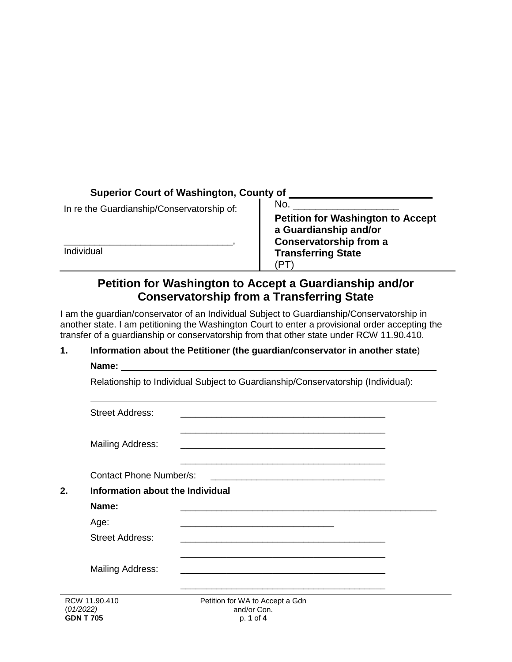## **Superior Court of Washington, County of**

In re the Guardianship/Conservatorship of:

\_\_\_\_\_\_\_\_\_\_\_\_\_\_\_\_\_\_\_\_\_\_\_\_\_\_\_\_\_\_\_\_\_, Individual

No.  $\_\_$ **Petition for Washington to Accept a Guardianship and/or Conservatorship from a Transferring State** (PT)

# **Petition for Washington to Accept a Guardianship and/or Conservatorship from a Transferring State**

I am the guardian/conservator of an Individual Subject to Guardianship/Conservatorship in another state. I am petitioning the Washington Court to enter a provisional order accepting the transfer of a guardianship or conservatorship from that other state under RCW 11.90.410.

### **1. Information about the Petitioner (the guardian/conservator in another state**) **Name:**

| <b>Street Address:</b>           |                                                                                                                      |  |
|----------------------------------|----------------------------------------------------------------------------------------------------------------------|--|
| Mailing Address:                 |                                                                                                                      |  |
| <b>Contact Phone Number/s:</b>   |                                                                                                                      |  |
| Information about the Individual |                                                                                                                      |  |
| Name:                            |                                                                                                                      |  |
| Age:                             | <u> 1989 - Jan James James James James James James James James James James James James James James James James J</u> |  |
| <b>Street Address:</b>           |                                                                                                                      |  |
| Mailing Address:                 |                                                                                                                      |  |
| RCW 11.90.410<br>(01/2022)       | <u> 1980 - Jan Barnett, fransk politik (d. 1980)</u><br>Petition for WA to Accept a Gdn<br>and/or Con.               |  |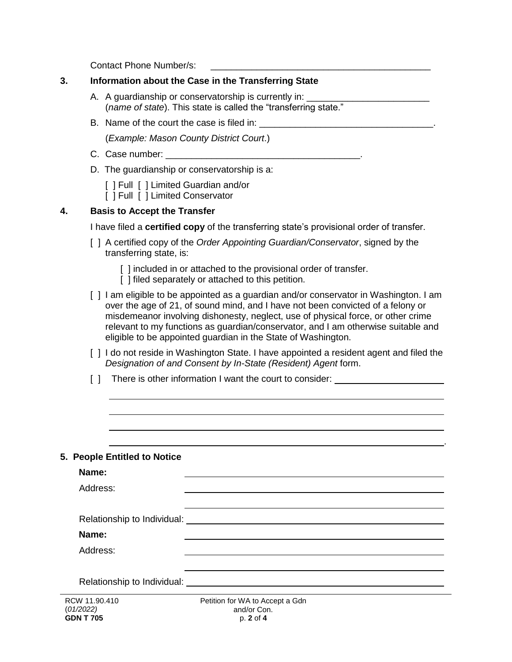Contact Phone Number/s: \_\_\_\_\_\_\_\_\_\_\_\_\_\_\_\_\_\_\_\_\_\_\_\_\_\_\_\_\_\_\_\_\_\_\_\_\_\_\_\_\_\_\_

| 3. | Information about the Case in the Transferring State                                                                                                                                                                                                                                                                                                                                                                |
|----|---------------------------------------------------------------------------------------------------------------------------------------------------------------------------------------------------------------------------------------------------------------------------------------------------------------------------------------------------------------------------------------------------------------------|
|    | A. A guardianship or conservatorship is currently in: ____<br>(name of state). This state is called the "transferring state."                                                                                                                                                                                                                                                                                       |
|    |                                                                                                                                                                                                                                                                                                                                                                                                                     |
|    | (Example: Mason County District Court.)                                                                                                                                                                                                                                                                                                                                                                             |
|    |                                                                                                                                                                                                                                                                                                                                                                                                                     |
|    | D. The guardianship or conservatorship is a:                                                                                                                                                                                                                                                                                                                                                                        |
|    | [ ] Full [ ] Limited Guardian and/or<br>[ ] Full [ ] Limited Conservator                                                                                                                                                                                                                                                                                                                                            |
| 4. | <b>Basis to Accept the Transfer</b>                                                                                                                                                                                                                                                                                                                                                                                 |
|    | I have filed a <b>certified copy</b> of the transferring state's provisional order of transfer.                                                                                                                                                                                                                                                                                                                     |
|    | [ ] A certified copy of the Order Appointing Guardian/Conservator, signed by the<br>transferring state, is:                                                                                                                                                                                                                                                                                                         |
|    | [ ] included in or attached to the provisional order of transfer.<br>[] filed separately or attached to this petition.                                                                                                                                                                                                                                                                                              |
|    | [ ] I am eligible to be appointed as a guardian and/or conservator in Washington. I am<br>over the age of 21, of sound mind, and I have not been convicted of a felony or<br>misdemeanor involving dishonesty, neglect, use of physical force, or other crime<br>relevant to my functions as guardian/conservator, and I am otherwise suitable and<br>eligible to be appointed guardian in the State of Washington. |
|    | [ ] I do not reside in Washington State. I have appointed a resident agent and filed the<br>Designation of and Consent by In-State (Resident) Agent form.                                                                                                                                                                                                                                                           |
|    | There is other information I want the court to consider: _______________________<br>$\Box$                                                                                                                                                                                                                                                                                                                          |
|    |                                                                                                                                                                                                                                                                                                                                                                                                                     |
|    |                                                                                                                                                                                                                                                                                                                                                                                                                     |
|    |                                                                                                                                                                                                                                                                                                                                                                                                                     |
|    |                                                                                                                                                                                                                                                                                                                                                                                                                     |
|    | 5. People Entitled to Notice                                                                                                                                                                                                                                                                                                                                                                                        |
|    | Name:                                                                                                                                                                                                                                                                                                                                                                                                               |
|    | Address:                                                                                                                                                                                                                                                                                                                                                                                                            |
|    |                                                                                                                                                                                                                                                                                                                                                                                                                     |
|    | Relationship to Individual: University of the Contract of the Contract of the Contract of the Contract of the Contract of the Contract of the Contract of the Contract of the Contract of the Contract of the Contract of the                                                                                                                                                                                       |
|    | Name:                                                                                                                                                                                                                                                                                                                                                                                                               |
|    | Address:                                                                                                                                                                                                                                                                                                                                                                                                            |
|    | Relationship to Individual: University of the University of Australian Control of the University of Australian                                                                                                                                                                                                                                                                                                      |
|    | RCW 11.90.410<br>Petition for WA to Accept a Gdn                                                                                                                                                                                                                                                                                                                                                                    |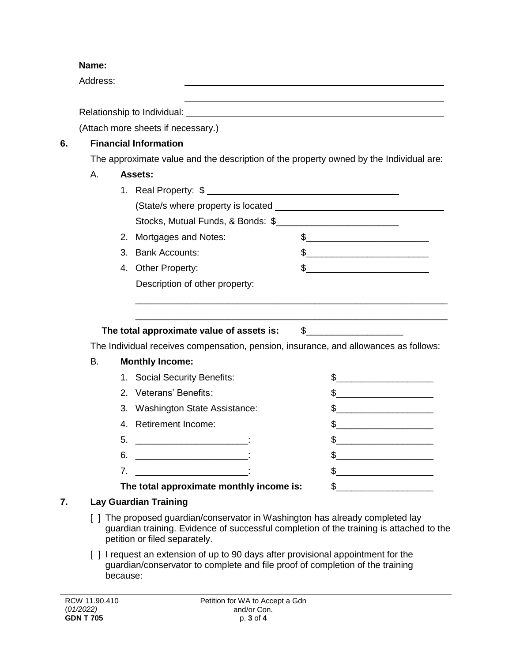**Name:** Address: Relationship to Individual: (Attach more sheets if necessary.) **6. Financial Information** The approximate value and the description of the property owned by the Individual are: A. **Assets:** 1. Real Property: \$ (State/s where property is located Stocks, Mutual Funds, & Bonds: \$ 2. Mortgages and Notes:  $\qquad \qquad$  \$ 3. Bank Accounts:  $\qquad \qquad$  \$ 4. Other Property:  $\qquad \qquad \text{S}$  Description of other property: \_\_\_\_\_\_\_\_\_\_\_\_\_\_\_\_\_\_\_\_\_\_\_\_\_\_\_\_\_\_\_\_\_\_\_\_\_\_\_\_\_\_\_\_\_\_\_\_\_\_\_\_\_\_\_\_\_\_\_\_\_ \_\_\_\_\_\_\_\_\_\_\_\_\_\_\_\_\_\_\_\_\_\_\_\_\_\_\_\_\_\_\_\_\_\_\_\_\_\_\_\_\_\_\_\_\_\_\_\_\_\_\_\_\_\_\_\_\_\_\_\_\_ **The total approximate value of assets is:** \$\_\_\_\_\_\_\_\_\_\_\_\_\_\_\_\_\_\_\_ The Individual receives compensation, pension, insurance, and allowances as follows: B. **Monthly Income:** 1. Social Security Benefits:  $\qquad \qquad \$ 2. Veterans' Benefits: \$\_\_\_\_\_\_\_\_\_\_\_\_\_\_\_\_\_\_\_ 3. Washington State Assistance:  $\frac{1}{2}$ 4. Retirement Income:  $\frac{1}{2}$  $5.$   $\frac{1}{2}$  $\bullet$ .  $\bullet$ 7. \_\_\_\_\_\_\_\_\_\_\_\_\_\_\_\_\_\_\_\_\_\_: \$\_\_\_\_\_\_\_\_\_\_\_\_\_\_\_\_\_\_\_ The total approximate monthly income is:  $\qquad$  \$\_\_\_\_\_\_\_\_\_\_\_\_\_\_\_\_\_\_\_\_\_\_\_\_\_\_\_\_\_\_\_\_\_ **7. Lay Guardian Training**

- [ ] The proposed guardian/conservator in Washington has already completed lay guardian training. Evidence of successful completion of the training is attached to the petition or filed separately.
- [ ] I request an extension of up to 90 days after provisional appointment for the guardian/conservator to complete and file proof of completion of the training because: